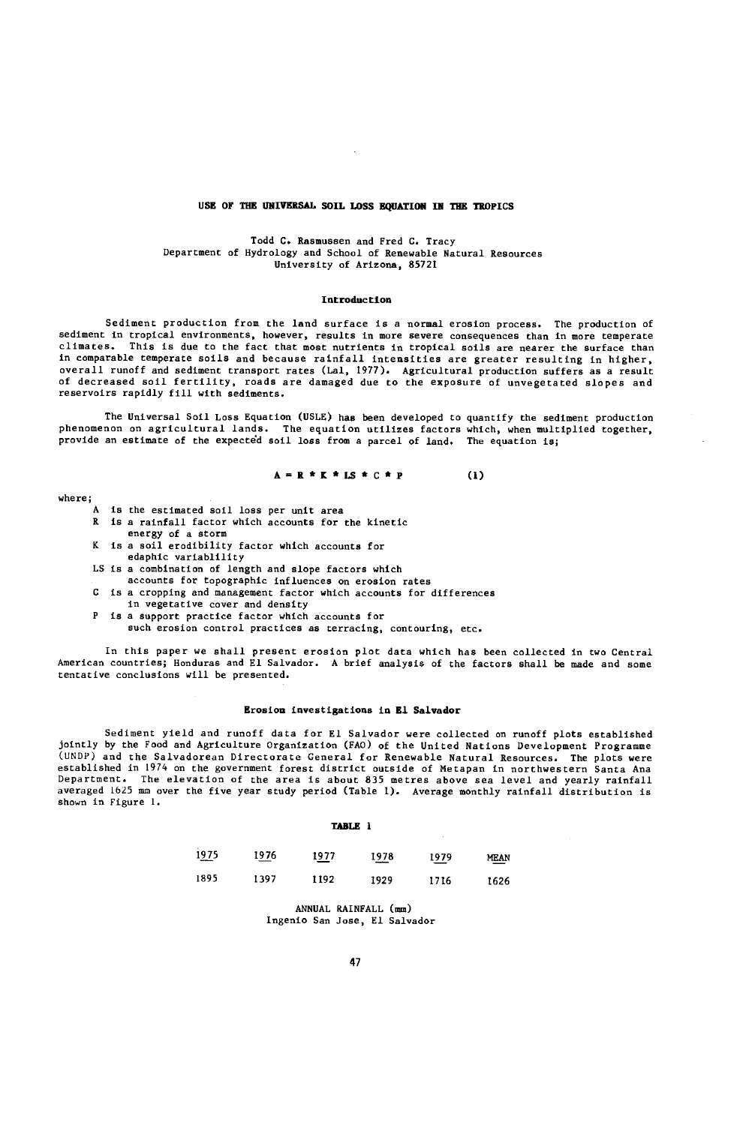# USE OF THE UNIVERSAL SOIL LOSS EQUATION IN THE TROPICS

### Todd C. Rasmussen and Fred C. Tracy Department of Hydrology and School of Renewable Natural Resources University of Arizona, 85721

#### Introduction

Sediment production from the land surface is a normal erosion process. The production of sediment in tropical environments, however, results in more severe consequences than in more temperate<br>climates. This is due to the fact that most putrients in tropical soils are pearer the surface than This is due to the fact that most nutrients in tropical soils are nearer the surface than in comparable temperate soils and because rainfall intensities are greater resulting in higher, overall runoff and sediment transport rates (Lal, 1977). Agricultural production suffers as a result of decreased soil fertility, roads are damaged due to the exposure of unvegetated slopes and reservoirs rapidly fill with sediments.

The Universal Soil Loss Equation (USLE) has been developed to quantify the sediment production phenomenon on agricultural lands. The equation utilizes factors which, when multiplied together, provide an estimate of the expected soil loss from a parcel of land. The equation is;

$$
A = R * R * LS * C * P
$$
 (1)

- A is the estimated soil loss per unit area
- R is a rainfall factor which accounts for the kinetic energy of a storm K is a soil erodibility factor which accounts for
- edaphic variablility
- LS is a combination of length and slope factors which
	- accounts for topographic influences on erosion rates
- C is a cropping and management factor which accounts for differences
- in vegetative cover and density
- P is a support practice factor which accounts for
- such erosion control practices as terracing, contouring, etc.

In this paper we shall present erosion plot data which has been collected in two Central American countries; Honduras and El Salvador. A brief analysis of the factors shall be made and some tentative conclusions will be presented.

### Erosion investigations in El Salvador

Sediment yield and runoff data for El Salvador were collected on runoff plots established jointly by the Food and Agriculture Organization (FAO) of the United Nations Development Programme (UNDP) and the Salvadorean Directorate General for Renewable Natural Resources. The plots were established in 1974 on the government forest district outside of Metapan in northwestern Santa Ana Department. The elevation of the area is about 835 metres above sea level and yearly rainfall averaged 1625 mm over the five year study period (Table 1). Average monthly rainfall distribution is shown in Figure 1.

### TABLE 1

| 1975<br><b>COMMA</b> | 1 <u>97</u> 6 | 1977<br>$-$ | 1978 | 1979<br>∸∸ | MEAN<br>≕ |
|----------------------|---------------|-------------|------|------------|-----------|
| 1895                 | 1397          | 1192        | 1929 | 1716       | 1626      |

ANNUAL RAINFALL (mm) Ingenio San Jose, El Salvador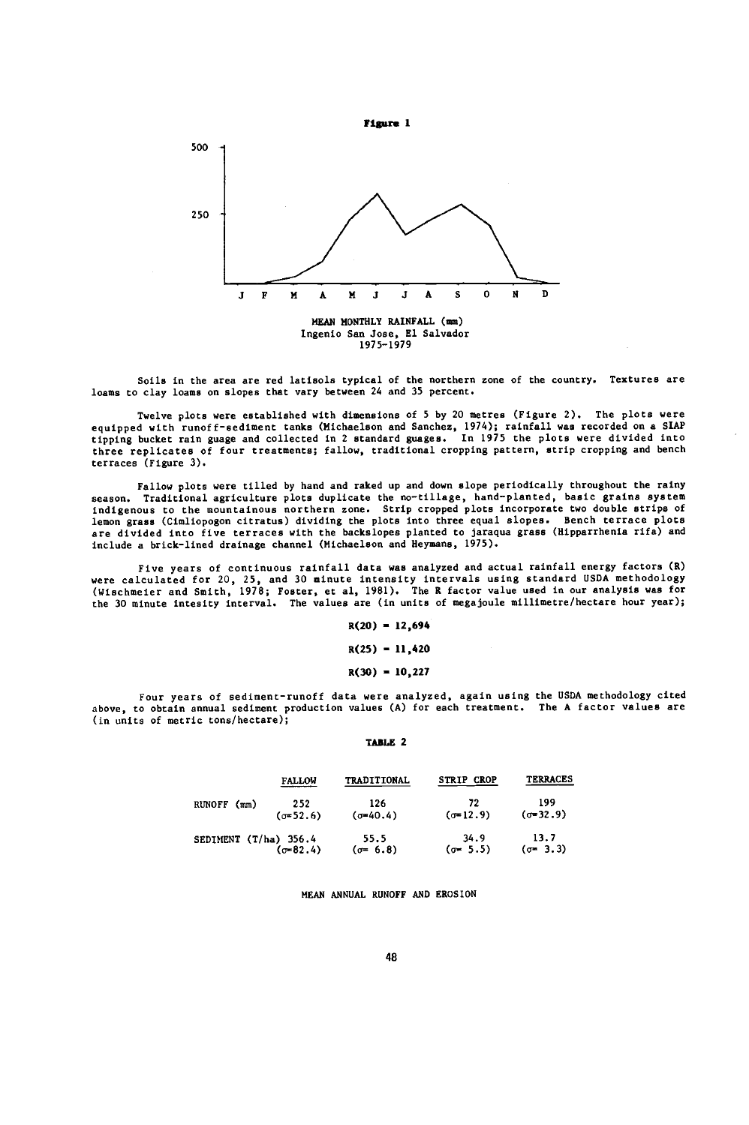

Soils in the area are red latisols typical of the northern zone of the country. Textures are loams to clay loams on slopes that vary between 24 and 35 percent.

Twelve plots were established with dimensions of 5 by 20 metres (Figure 2). The plots were equipped with runoff-sediment tanks (Michaelson and Sanchez, 1974); rainfall was recorded on a SIAP<br>tipping bucket rain guage and collected in 2 standard guages. In 1975 the plots were divided into three replicates of four treatments; fallow, traditional cropping pattern, strip cropping and bench terraces (Figure 3).

Fallow plots were tilled by hand and raked up and down slope periodically throughout the rainy season. Traditional agriculture plots duplicate the no-tillage, hand-planted, basic grains system indigenous to the mountainous northern zone. Strip cropped plots incorporate two double strips of lemon grass (Cimliopogon citratus) dividing the plots into three equal slopes. Bench terrace plots are divided into five terraces with the backslopes planted to jaraqua grass (Hipparthenia rifa) and include a brick-lined drainage channel (Michaelson and Heymans, 1975).

Five years of continuous rainfall data was analyzed and actual rainfall energy factors (R) were calculated for 20, 25, and 30 minute intensity intervals using standard USDA methodology (Wischmeier and Smith, 1978; Foster, et al, 1981). The R factor value used in our analysis was for the 30 minute intesity interval. The values are (in units of megajoule millimetre/hectare hour year);

 $R(20) = 12,694$ 

 $R(25) = 11,420$ 

 $R(30) = 10,227$ 

Four years of sediment- runoff data were analyzed, again using the USDA methodology cited above, to obtain annual sediment production values (A) for each treatment. The A factor values are (in units of metric tons/hectare);

TABLE 2

|                       | <b>FALLOW</b>       | TRADITIONAL              | <b>STRIP CROP</b>        | <b>TERRACES</b>          |  |
|-----------------------|---------------------|--------------------------|--------------------------|--------------------------|--|
| RUNOFF (mm)           | 252<br>$(5 - 52.6)$ | 126<br>$(\sigma = 40.4)$ | 72<br>$(\sigma = 12.9)$  | 199<br>$(0-32.9)$        |  |
| SEDIMENT (T/ha) 356.4 | $(\sigma = 82.4)$   | 55.5<br>$(\sigma = 6.8)$ | 34.9<br>$(\sigma = 5.5)$ | 13.7<br>$(\sigma = 3.3)$ |  |

MEAN ANNUAL RUNOFF AND EROSION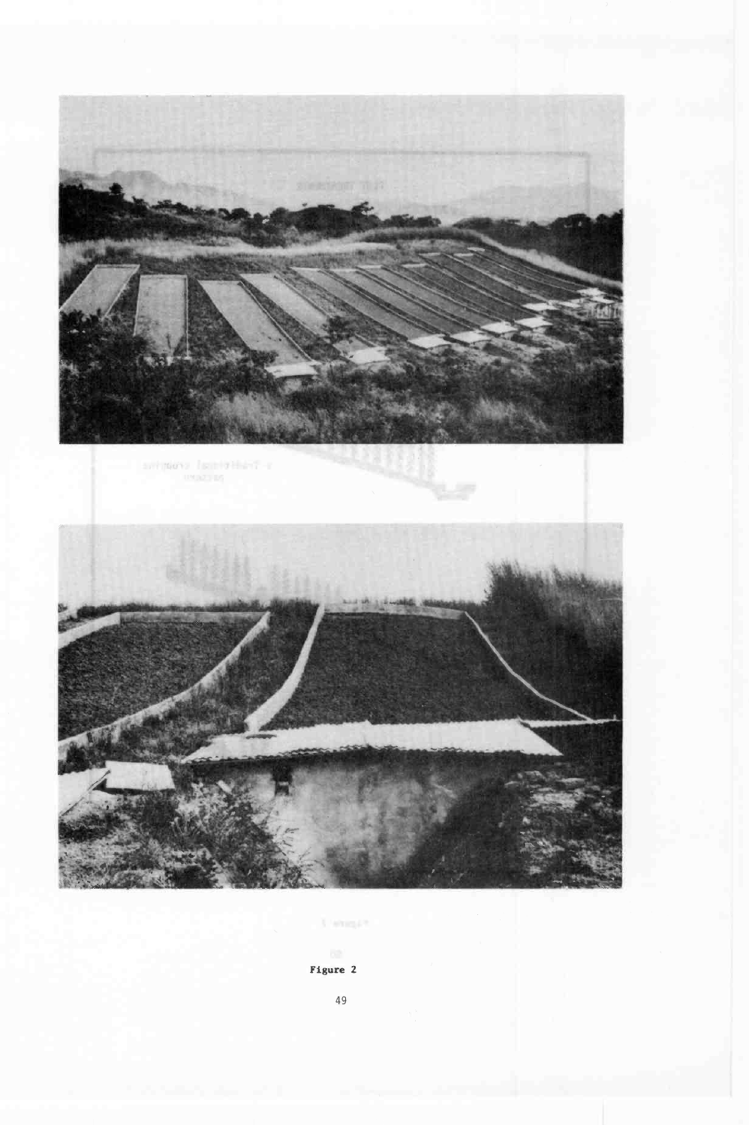

Figure 2

49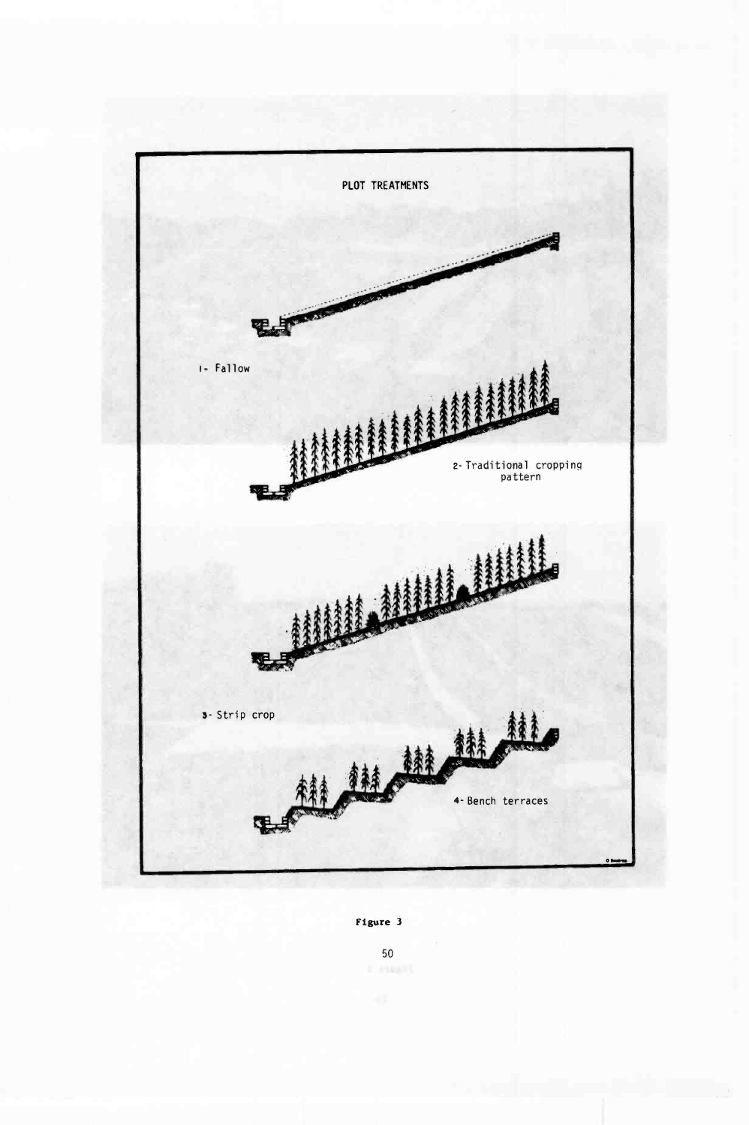

Figure 3

50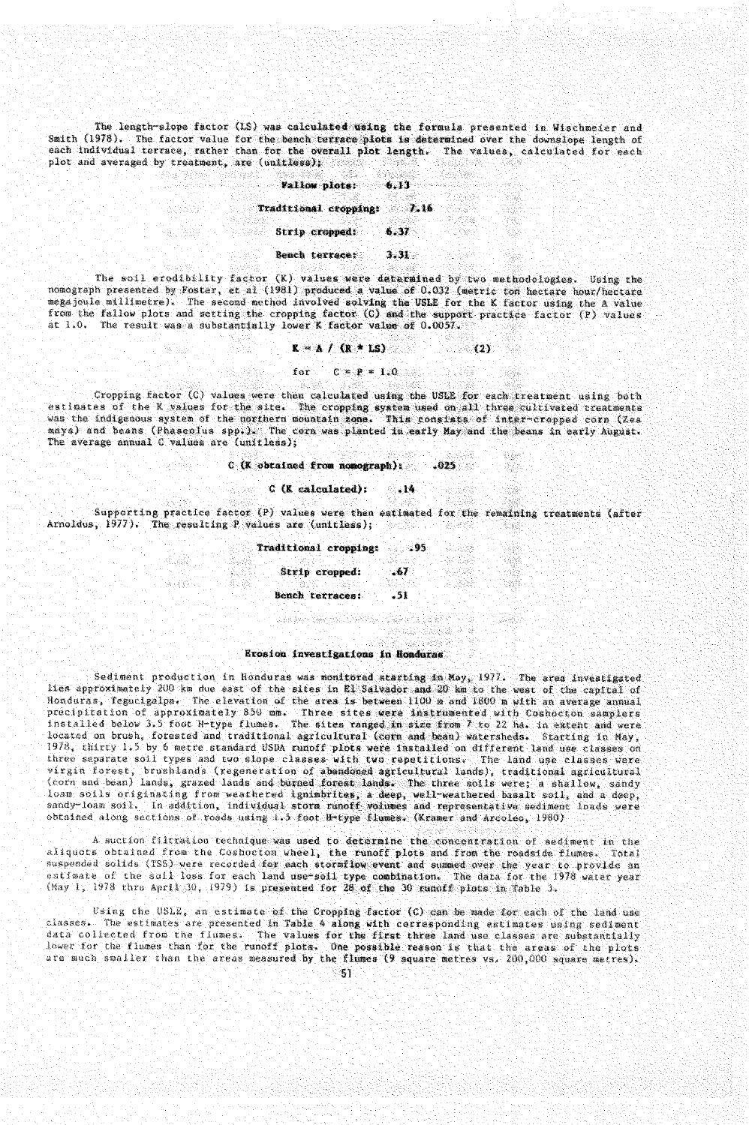The length-slope factor (LS) was calculated using the formula presented in Wischmeier and Smith (1978). The factor value for the bench terrace plots is determined over the downslope length of each individual terrsee, cachet than for the overall plot length. The values, calculated for each plot and averaged by treatment, are (unitless);

Fallow plots: 6.13 Traditional cropping: 7.16 Strip cropped: 6.37 Sencb terrace: 3.31

actas

The soil erodibility factor (K) values were determined by two methodologies. Using the nomograph presented by Foster, et al (1981) produced a value of 0.032 (metric ton hectare hour/hectare megajoule millimetre). The second method involved solving the USLE for the K factor using the A value from the fallow plots and setting the cropping factor (C) and the support practice factor (P) values at 1.0. The result was a substantially lower K factor value of 0.0057.

$$
K = A / (R * LS)
$$
 (2)

W

XX 장원

53 Sep 주고

 $\sim 0.2$ 

W

for  $C = P = 1.0$ 

Cropping factor (C) values were then calculated using the USLE for each treatment using both estimates of the K values for the site. The cropping system used on all three cultivated treatments was the indigenous system of the northern mountain zone. This consists of inter-cropped corn (Zea mays) and beans (Phaseolus app.). The corn was planted iu early May and the beans in early August. The average annual C values are (unitless);

### $C$  (K obtained from nomograph): .025

### C (K calculated): .14

alak

. S. 39

1252

 $58.68\%$  .

Supporting practice factor (P) values were then estimated for the remaining treatments (atter Arnoldus, 1977). The resulting P values are (unitless);  $\mathcal{C}_{\text{max}}$ 

> Traditional cropping: .95 Strip cropped: .67 Bench terraces: .51

부모님께 부분이 나오셨다. 나는 사람들은 사람들이 나오는 것이다.

data

 $\lesssim 10^{11}$ 

## Erosion investigations in Honduras

Sediment production in Honduras was monitored starting in May, 1977. The area investigated lies approximately 200 km due east of the sites in El Salvador and 20 km to the west of the capital of Honduras, Tegucigalpa. The elevation of the area is between 1100 m and 1800 m with an average annual precipitation of approximately 850 mm. Three sites were instrumented with Coshocton samplers<br>installed below 3.5 foot H-type flumes. The sites ranged in size from 7 to 22 ha. in extent and were located on brush, forested and traditional agricultural (corn and bean) watersheds. Starting in May, 1978, thirty 1.5 by 6 metre standard USDA runoff plots were installed on different land use classes on three separate soil types and two slope classes with two repetitions. The land use classes were virgin forest, brushlands (regeneration of abandoned agricultural lands), traditional agricultural<br>(corn and bean) lands, grazed lands and burned forest lands. The three soils were; a shallow, sandy loam soils originating from weathered ignimbrites, a deep, well-weathered basalt soil, and a deep,<br>sandy-loam soil. In addition, individual storm runoff volumes and representative sediment loads were obtained along sections of roads using 1.5 foot H-type flumes. (Kramer and Arcoleo, 1980)

A suction filtration technique was used to determine the concentration of sediment in the aliquots obtained from the Coshocton wheel, the runoff plots and from the roadside flumes. Total Suspended solids (TSS) were recorded for each stormflow event and summed over the year to provide an<br>estimate of the soll loss for each land use-soll type combination. The data for the 1978 warer year  $(May 1, 1978$  thru April 30, 1979) is presented for 28 of the 30 runoff plots in Table 3.

Using the USLE, an estimate of the Cropping factor  $(C)$  can be made for each of the land use<br>classes. The estimates are presented in Table 4 along with corresponding estimates using sodimant The estimates are presented in Table 4 along with corresponding estimates using sediment data collected from the flumes. The values for the first three land use classes are substantially lower for the flumes than for the runoff plots. One possible reason is that the areas of the plots<br>are much smaller than the areas measured by the flumes (9 square metres vs. 200,000 square metres).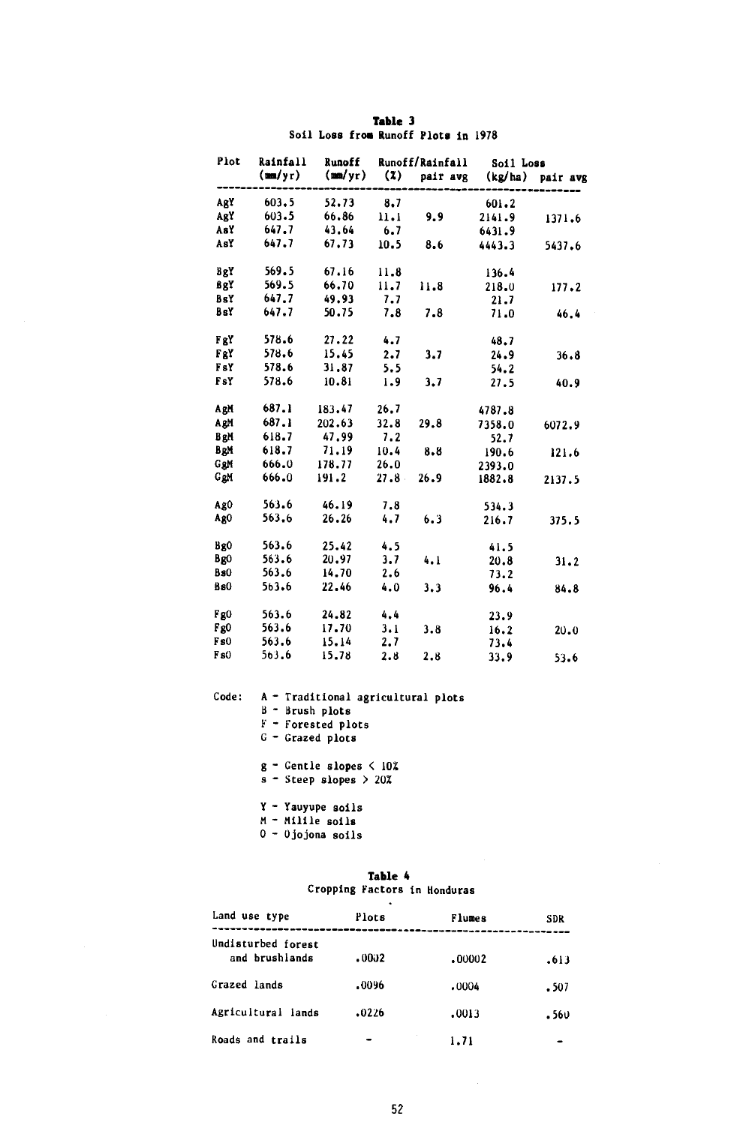|  | Table 3                             |  |  |
|--|-------------------------------------|--|--|
|  | Soil Loss from Runoff Plots in 1978 |  |  |

| Plot | Rainfall<br>Runoff<br><b>Runoff/Rainfall</b> |                         |      | Soil Loss        |        |                  |
|------|----------------------------------------------|-------------------------|------|------------------|--------|------------------|
|      | (mm/yr)                                      | $(\text{mm}/\text{yr})$ | (2)  | pair avg         |        | (kg/ha) pair avg |
| AgY  | 603.5                                        | 52.73                   | 8.7  |                  | 601.2  |                  |
| AgY  | 603.5                                        | 66.86                   | 11.1 | 9.9 <sub>z</sub> | 2141.9 | 1371.6           |
| AsY  | 647.7                                        | 43.64                   | 6.7  |                  | 6431.9 |                  |
| AsY  |                                              | $647.7$ $67.73$         | 10.5 | 8.6              | 4443.3 | 5437.6           |
| BgY  | 569.5                                        | 67.16                   | 11.8 |                  | 136.4  |                  |
| BgY  | 569.5                                        | 66.70                   | 11.7 | 11.8             | 218.0  | 177.2            |
| BsY  | 647.7                                        | 49.93                   | 7.7  |                  | 21.7   |                  |
| BsY  | 647.7                                        | 50.75                   | 7.8  | 7.8              | 71.0   | 46.4             |
| FgY  | 578.6                                        | 27.22                   | 4.7  |                  | 48.7   |                  |
| FgY  | 578.6                                        | 15.45                   | 2.7  | 3.7              | 24.9   | 36.8             |
| FsY  | 578.6                                        | 31.87                   | 5.5  |                  | 54.2   |                  |
| FsY  | 578.6                                        | 10.81                   | 1.9  | 3,7              | 27.5   | 40.9             |
| AgM  | 687.1                                        | 183.47                  | 26.7 |                  | 4787.8 |                  |
| AgM  | 687.1                                        | 202.63                  | 32.8 | 29.8             | 7358.0 | 6072.9           |
| BeM  | 618.7                                        | 47.99 7.2               |      |                  | 52.7   |                  |
| BgM  | 618.7                                        | 71.19                   | 10.4 | 8.8              | 190.6  | 121.6            |
| GgM  | 666.0 178.77 26.0                            |                         |      |                  | 2393.0 |                  |
|      | GgM 666.0 191.2                              |                         | 27.8 | 26.9             | 1882.8 | 2137.5           |
| AgO  | 563.6                                        | 46.19                   | 7.8  |                  | 534.3  |                  |
| AgO  | 563.6                                        | 26.26                   | 4.7  | 6.3              | 216.7  | 375.5            |
| Bg0  | 563.6                                        | 25.42                   | 4.5  |                  | 41.5   |                  |
| BgO  | 563.6                                        | 20.97                   | 3.7  | 4.1              | 20.8   | 31.2             |
| Bs0  | 563.6                                        | 14.70                   | 2.6  |                  | 73.2   |                  |
| BsO  | 563.6                                        | 22.46                   | 4.0  | 3.3              | 96.4   | 84.8             |
| Fg0  | 563.6                                        | 24.82                   | 4.4  |                  | 23.9   |                  |
| Fg0  | 563.6                                        | 17.70                   | 3.1  | 3.8              | 16.2   | 20.0             |
| F s0 | 563.6                                        | 15.14                   | 2,7  |                  | 73.4   |                  |
| F s0 | 563.6                                        | 15.78                   | 2.8  | 2.8              | 33.9   | 53.6             |
|      |                                              |                         |      |                  |        |                  |

Code: A - Traditional agricultural plots B - Brush plots F - Forested plots G - Grazed plots g - Gentle slopes < 101

s - Steep slopes > 201

Y - Yauyupe soils

- M Milile soils
- 0 Ojojona soils

Table 4 Cropping Factors in Honduras

| Land use type                        | ٠<br>Plots | Flumes | <b>SDR</b> |
|--------------------------------------|------------|--------|------------|
| Undisturbed forest<br>and brushlands | .0002      | .00002 | -613       |
| Grazed lands                         | .0096      | .0004  | . 507      |
| Agricultural lands                   | .0226      | .0013  | . 560      |
| Roads and trails                     |            | 1.71   |            |